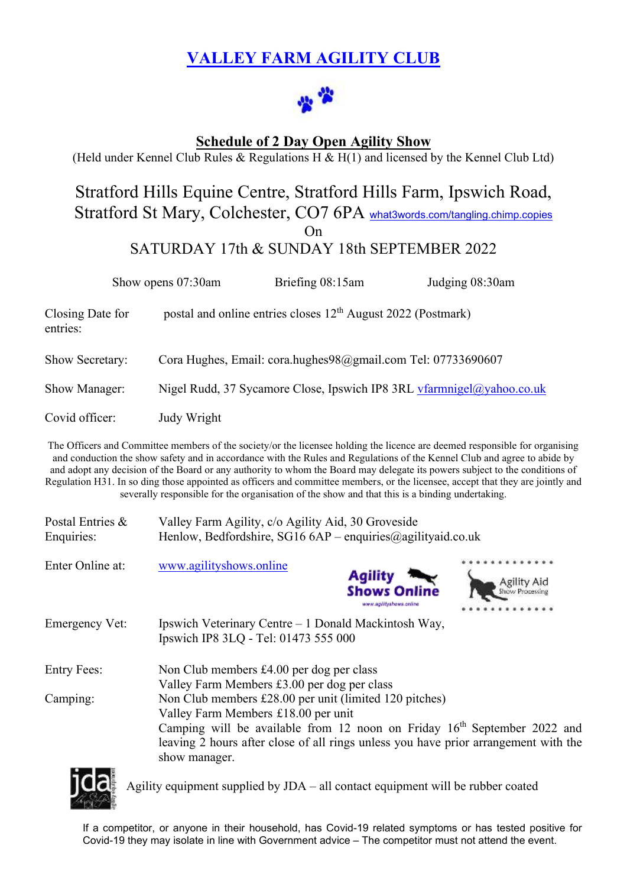# **VALLEY FARM AGILITY CLUB**



## **Schedule of 2 Day Open Agility Show**

(Held under Kennel Club Rules & Regulations H & H(1) and licensed by the Kennel Club Ltd)

# Stratford Hills Equine Centre, Stratford Hills Farm, Ipswich Road, Stratford St Mary, Colchester, CO7 6PA [what3words.com/tangling.chimp.copies](https://what3words.com/tangling.chimp.copies)

On

SATURDAY 17th & SUNDAY 18th SEPTEMBER 2022

|                              | Show opens 07:30am | Briefing 08:15am                                                         | Judging 08:30am                                                       |
|------------------------------|--------------------|--------------------------------------------------------------------------|-----------------------------------------------------------------------|
| Closing Date for<br>entries: |                    | postal and online entries closes 12 <sup>th</sup> August 2022 (Postmark) |                                                                       |
| Show Secretary:              |                    | Cora Hughes, Email: cora.hughes98@gmail.com Tel: 07733690607             |                                                                       |
| Show Manager:                |                    |                                                                          | Nigel Rudd, 37 Sycamore Close, Ipswich IP8 3RL vfarmnigel@yahoo.co.uk |
| Covid officer:               | Judy Wright        |                                                                          |                                                                       |

The Officers and Committee members of the society/or the licensee holding the licence are deemed responsible for organising and conduction the show safety and in accordance with the Rules and Regulations of the Kennel Club and agree to abide by and adopt any decision of the Board or any authority to whom the Board may delegate its powers subject to the conditions of Regulation H31. In so ding those appointed as officers and committee members, or the licensee, accept that they are jointly and severally responsible for the organisation of the show and that this is a binding undertaking.

| Postal Entries &<br>Enquiries: | Valley Farm Agility, c/o Agility Aid, 30 Groveside<br>Henlow, Bedfordshire, SG16 $6AP$ – enquiries @agilityaid.co.uk                                                                                                                                                                |                                                                  |  |  |  |  |  |  |
|--------------------------------|-------------------------------------------------------------------------------------------------------------------------------------------------------------------------------------------------------------------------------------------------------------------------------------|------------------------------------------------------------------|--|--|--|--|--|--|
| Enter Online at:               | www.agilityshows.online                                                                                                                                                                                                                                                             | <b>Agility</b><br><b>Shows Online</b><br>www.ap/lityshows.online |  |  |  |  |  |  |
| <b>Emergency Vet:</b>          | Ipswich Veterinary Centre – 1 Donald Mackintosh Way,<br>Ipswich IP8 3LQ - Tel: 01473 555 000                                                                                                                                                                                        |                                                                  |  |  |  |  |  |  |
| <b>Entry Fees:</b>             | Non Club members £4.00 per dog per class<br>Valley Farm Members £3.00 per dog per class                                                                                                                                                                                             |                                                                  |  |  |  |  |  |  |
| Camping:                       | Non Club members £28.00 per unit (limited 120 pitches)<br>Valley Farm Members £18.00 per unit<br>Camping will be available from 12 noon on Friday $16th$ September 2022 and<br>leaving 2 hours after close of all rings unless you have prior arrangement with the<br>show manager. |                                                                  |  |  |  |  |  |  |



Agility equipment supplied by JDA – all contact equipment will be rubber coated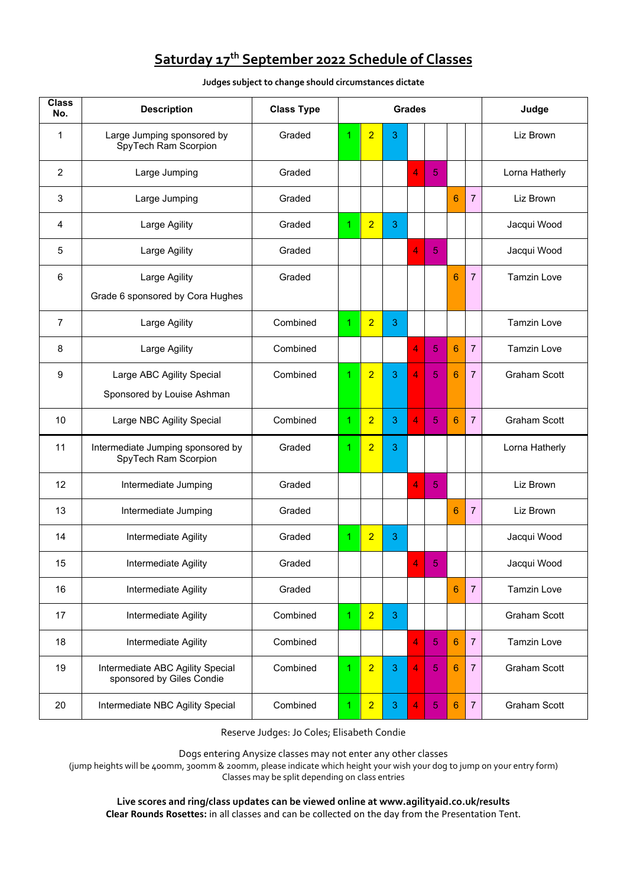# **Saturday 17 th September 2022 Schedule of Classes**

**Judges subject to change should circumstances dictate**

| <b>Class</b><br>No. | <b>Description</b>                                            | <b>Class Type</b> | <b>Grades</b>                                                                               |                |            |                     |            |                 |                | Judge               |  |
|---------------------|---------------------------------------------------------------|-------------------|---------------------------------------------------------------------------------------------|----------------|------------|---------------------|------------|-----------------|----------------|---------------------|--|
| 1                   | Large Jumping sponsored by<br>SpyTech Ram Scorpion            | Graded            | 1                                                                                           | $\overline{2}$ | 3          |                     |            |                 |                | Liz Brown           |  |
| $\overline{2}$      | Large Jumping                                                 | Graded            |                                                                                             |                |            | 4                   | 5          |                 |                | Lorna Hatherly      |  |
| 3                   | Large Jumping                                                 | Graded            |                                                                                             |                |            |                     |            | 6               | $\overline{7}$ | Liz Brown           |  |
| 4                   | Large Agility                                                 | Graded            | 1                                                                                           | $\overline{2}$ | 3          |                     |            |                 |                | Jacqui Wood         |  |
| 5                   | Large Agility                                                 | Graded            |                                                                                             |                |            | 4                   | 5          |                 |                | Jacqui Wood         |  |
| 6                   | Large Agility<br>Grade 6 sponsored by Cora Hughes             | Graded            |                                                                                             |                |            |                     |            | $6\phantom{1}6$ | $\overline{7}$ | <b>Tamzin Love</b>  |  |
| 7                   | Large Agility                                                 | Combined          | 1                                                                                           | $\overline{2}$ | 3          |                     |            |                 |                | <b>Tamzin Love</b>  |  |
| 8                   | Large Agility                                                 | Combined          |                                                                                             |                |            | 4                   | 5          | 6               | 7              | <b>Tamzin Love</b>  |  |
| 9                   | Large ABC Agility Special                                     | Combined          | 1                                                                                           | $\overline{2}$ | 3          | 4                   | 5          | 6               | $\overline{7}$ | <b>Graham Scott</b> |  |
|                     | Sponsored by Louise Ashman                                    |                   |                                                                                             |                |            |                     |            |                 |                |                     |  |
| 10                  | Large NBC Agility Special                                     | Combined          | 1                                                                                           | $\overline{2}$ | 3          | 4                   | 5          | 6               | 7              | <b>Graham Scott</b> |  |
| 11                  | Intermediate Jumping sponsored by<br>SpyTech Ram Scorpion     | Graded            | 1                                                                                           | $\overline{2}$ | 3          |                     |            |                 |                | Lorna Hatherly      |  |
| 12                  | Intermediate Jumping                                          | Graded            |                                                                                             |                |            | 4                   | 5          |                 |                | Liz Brown           |  |
| 13                  | Intermediate Jumping                                          | Graded            |                                                                                             |                |            |                     |            | $6\phantom{1}$  | $\overline{7}$ | Liz Brown           |  |
| 14                  | Intermediate Agility                                          | Graded            | 1                                                                                           | $\overline{2}$ | 3          |                     |            |                 |                | Jacqui Wood         |  |
| 15                  | Intermediate Agility                                          | Graded            |                                                                                             |                |            | $\overline{4}$      | 5.         |                 |                | Jacqui Wood         |  |
| 16                  | Intermediate Agility                                          | Graded            |                                                                                             |                |            |                     |            | 6               | 7              | <b>Tamzin Love</b>  |  |
| 17                  | Intermediate Agility                                          | Combined          | 1                                                                                           | $\overline{2}$ | 3          |                     |            |                 |                | <b>Graham Scott</b> |  |
| 18                  | Intermediate Agility                                          | Combined          |                                                                                             |                |            | 4                   | 5          | $6\phantom{1}6$ | $\overline{7}$ | Tamzin Love         |  |
| 19                  | Intermediate ABC Agility Special<br>sponsored by Giles Condie | Combined          | $\overline{2}$<br>4<br>1<br>$\mathbf{3}$<br>$\sqrt{5}$<br>$6\phantom{1}6$<br>$\overline{7}$ |                |            | <b>Graham Scott</b> |            |                 |                |                     |  |
| 20                  | Intermediate NBC Agility Special                              | Combined          | 1                                                                                           | $\overline{2}$ | $\sqrt{3}$ | 4                   | $\sqrt{5}$ | $6\phantom{1}6$ | $\overline{7}$ | Graham Scott        |  |

Reserve Judges: Jo Coles; Elisabeth Condie

Dogs entering Anysize classes may not enter any other classes

(jump heights will be 400mm, 300mm & 200mm, please indicate which height your wish your dog to jump on your entry form) Classes may be split depending on class entries

**Live scores and ring/class updates can be viewed online at www.agilityaid.co.uk/results Clear Rounds Rosettes:** in all classes and can be collected on the day from the Presentation Tent.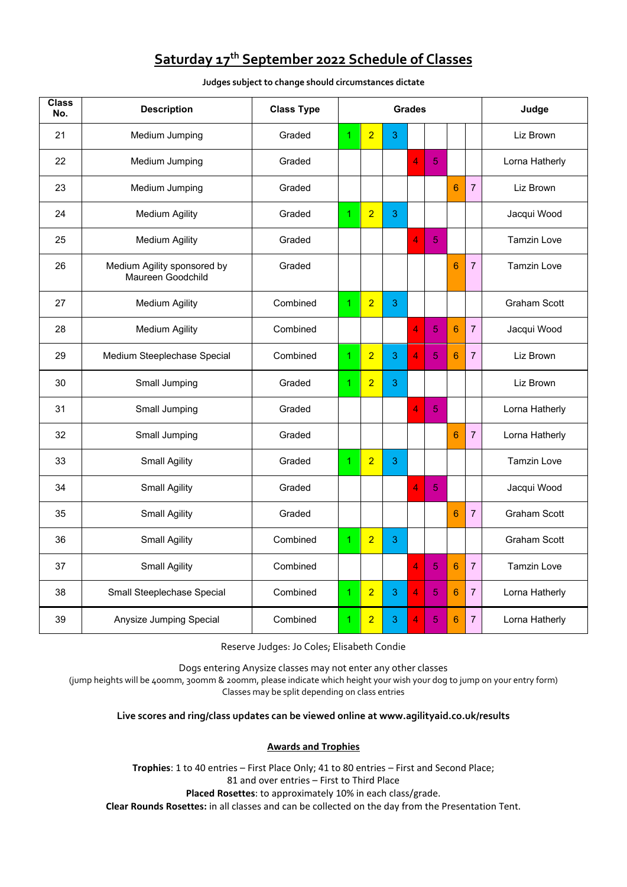## **Saturday 17 th September 2022 Schedule of Classes**

**Judges subject to change should circumstances dictate**

| <b>Class</b><br>No. | <b>Description</b>                               | <b>Class Type</b> | <b>Grades</b>                       |                |                     |                |                    |                |                | Judge               |
|---------------------|--------------------------------------------------|-------------------|-------------------------------------|----------------|---------------------|----------------|--------------------|----------------|----------------|---------------------|
| 21                  | Medium Jumping                                   | Graded            | 1                                   | $\overline{2}$ | 3                   |                |                    |                |                | Liz Brown           |
| 22                  | Medium Jumping                                   | Graded            |                                     |                |                     | 4              | 5                  |                |                | Lorna Hatherly      |
| 23                  | Medium Jumping                                   | Graded            |                                     |                |                     |                |                    | $6\phantom{1}$ | $\overline{7}$ | Liz Brown           |
| 24                  | <b>Medium Agility</b>                            | Graded            | 1                                   | $\overline{2}$ | 3                   |                |                    |                |                | Jacqui Wood         |
| 25                  | <b>Medium Agility</b>                            | Graded            |                                     |                |                     | 4              | 5                  |                |                | <b>Tamzin Love</b>  |
| 26                  | Medium Agility sponsored by<br>Maureen Goodchild | Graded            | 6<br>$\overline{7}$                 |                |                     |                | <b>Tamzin Love</b> |                |                |                     |
| 27                  | <b>Medium Agility</b>                            | Combined          | $\overline{2}$<br>3<br>$\mathbf{1}$ |                | <b>Graham Scott</b> |                |                    |                |                |                     |
| 28                  | <b>Medium Agility</b>                            | Combined          |                                     |                |                     | $\overline{4}$ | 5                  | $6\phantom{1}$ | $\overline{7}$ | Jacqui Wood         |
| 29                  | Medium Steeplechase Special                      | Combined          | 1                                   | $\overline{2}$ | 3                   | 4              | 5                  | 6              | $\overline{7}$ | Liz Brown           |
| 30                  | Small Jumping                                    | Graded            | $\mathbf{1}$                        | $\overline{2}$ | 3                   |                |                    |                |                | Liz Brown           |
| 31                  | Small Jumping                                    | Graded            |                                     |                |                     | 4              | 5                  |                |                | Lorna Hatherly      |
| 32                  | Small Jumping                                    | Graded            |                                     |                |                     |                |                    | 6              | $\overline{7}$ | Lorna Hatherly      |
| 33                  | <b>Small Agility</b>                             | Graded            | $\mathbf{1}$                        | $\overline{2}$ | 3                   |                |                    |                |                | <b>Tamzin Love</b>  |
| 34                  | <b>Small Agility</b>                             | Graded            |                                     |                |                     | 4              | 5                  |                |                | Jacqui Wood         |
| 35                  | <b>Small Agility</b>                             | Graded            |                                     |                |                     |                |                    | 6              | $\overline{7}$ | <b>Graham Scott</b> |
| 36                  | <b>Small Agility</b>                             | Combined          | $\mathbf{1}$                        | $\overline{2}$ | 3                   |                |                    |                |                | <b>Graham Scott</b> |
| 37                  | <b>Small Agility</b>                             | Combined          |                                     |                |                     | 4              | 5                  | 6              | $\overline{7}$ | <b>Tamzin Love</b>  |
| 38                  | Small Steeplechase Special                       | Combined          | $\overline{2}$<br>3<br>1            |                | 4                   | 5              | $6\phantom{1}$     | $\overline{7}$ | Lorna Hatherly |                     |
| 39                  | Anysize Jumping Special                          | Combined          | 1                                   | $\overline{2}$ | 3                   | 4              | 5                  | $6\phantom{1}$ | $\overline{7}$ | Lorna Hatherly      |

Reserve Judges: Jo Coles; Elisabeth Condie

Dogs entering Anysize classes may not enter any other classes

(jump heights will be 400mm, 300mm & 200mm, please indicate which height your wish your dog to jump on your entry form) Classes may be split depending on class entries

**Live scores and ring/class updates can be viewed online at www.agilityaid.co.uk/results**

## **Awards and Trophies**

**Trophies**: 1 to 40 entries – First Place Only; 41 to 80 entries – First and Second Place; 81 and over entries – First to Third Place **Placed Rosettes**: to approximately 10% in each class/grade.

**Clear Rounds Rosettes:** in all classes and can be collected on the day from the Presentation Tent.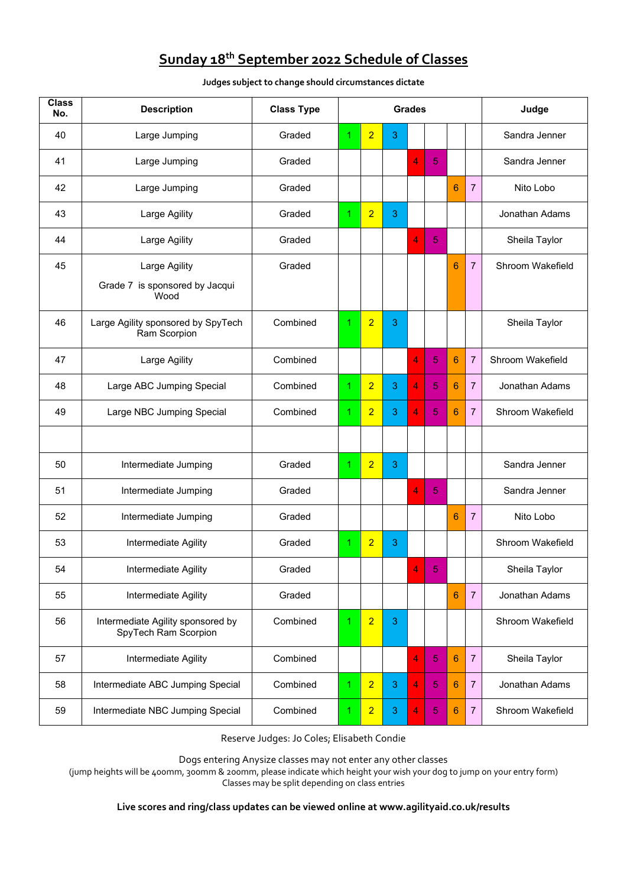# **Sunday 18 th September 2022 Schedule of Classes**

**Judges subject to change should circumstances dictate**

| <b>Class</b><br>No. | <b>Description</b>                                        | <b>Class Type</b> | <b>Grades</b>                           |                |                |                |                |   |                | Judge            |  |
|---------------------|-----------------------------------------------------------|-------------------|-----------------------------------------|----------------|----------------|----------------|----------------|---|----------------|------------------|--|
| 40                  | Large Jumping                                             | Graded            | 1                                       | $\overline{2}$ | 3              |                |                |   |                | Sandra Jenner    |  |
| 41                  | Large Jumping                                             | Graded            |                                         |                |                | 4              | 5              |   |                | Sandra Jenner    |  |
| 42                  | Large Jumping                                             | Graded            |                                         |                |                |                |                | 6 | $\overline{7}$ | Nito Lobo        |  |
| 43                  | Large Agility                                             | Graded            | 1                                       | $\overline{2}$ | 3              |                |                |   |                | Jonathan Adams   |  |
| 44                  | Large Agility                                             | Graded            |                                         |                |                | 4              | 5              |   |                | Sheila Taylor    |  |
| 45                  | Large Agility                                             | Graded            |                                         |                |                |                |                | 6 | $\overline{7}$ | Shroom Wakefield |  |
|                     | Grade 7 is sponsored by Jacqui<br>Wood                    |                   |                                         |                |                |                |                |   |                |                  |  |
| 46                  | Large Agility sponsored by SpyTech<br>Ram Scorpion        | Combined          | 1                                       | $\overline{2}$ | 3              |                |                |   |                | Sheila Taylor    |  |
| 47                  | Large Agility                                             | Combined          |                                         |                |                | 4              | 5              | 6 | $\overline{7}$ | Shroom Wakefield |  |
| 48                  | Large ABC Jumping Special                                 | Combined          | 1                                       | $\overline{2}$ | 3              | 4              | 5              | 6 | $\overline{7}$ | Jonathan Adams   |  |
| 49                  | Large NBC Jumping Special                                 | Combined          | 1                                       | $\overline{2}$ | 3              | 4              | 5              | 6 | $\overline{7}$ | Shroom Wakefield |  |
|                     |                                                           |                   |                                         |                |                |                |                |   |                |                  |  |
| 50                  | Intermediate Jumping                                      | Graded            | 1                                       | $\overline{2}$ | 3              |                |                |   |                | Sandra Jenner    |  |
| 51                  | Intermediate Jumping                                      | Graded            |                                         |                |                | 4              | 5              |   |                | Sandra Jenner    |  |
| 52                  | Intermediate Jumping                                      | Graded            |                                         |                |                |                |                | 6 | $\overline{7}$ | Nito Lobo        |  |
| 53                  | Intermediate Agility                                      | Graded            | 1                                       | $\overline{2}$ | 3              |                |                |   |                | Shroom Wakefield |  |
| 54                  | Intermediate Agility                                      | Graded            |                                         |                |                | 4              | $\ddot{\circ}$ |   |                | Sheila Taylor    |  |
| 55                  | Intermediate Agility                                      | Graded            |                                         |                |                |                |                | 6 | $\overline{7}$ | Jonathan Adams   |  |
| 56                  | Intermediate Agility sponsored by<br>SpyTech Ram Scorpion | Combined          | 1                                       | $\overline{2}$ | 3              |                |                |   |                | Shroom Wakefield |  |
| 57                  | Intermediate Agility                                      | Combined          |                                         |                |                | 4              | 5              | 6 | $\overline{7}$ | Sheila Taylor    |  |
| 58                  | Intermediate ABC Jumping Special                          | Combined          | $\overline{2}$<br>4<br>1<br>3<br>5<br>6 |                | $\overline{7}$ | Jonathan Adams |                |   |                |                  |  |
| 59                  | Intermediate NBC Jumping Special                          | Combined          | 1                                       | $\overline{2}$ | 3              | 4              | 5              | 6 | $\overline{7}$ | Shroom Wakefield |  |

Reserve Judges: Jo Coles; Elisabeth Condie

Dogs entering Anysize classes may not enter any other classes

(jump heights will be 400mm, 300mm & 200mm, please indicate which height your wish your dog to jump on your entry form) Classes may be split depending on class entries

## **Live scores and ring/class updates can be viewed online at www.agilityaid.co.uk/results**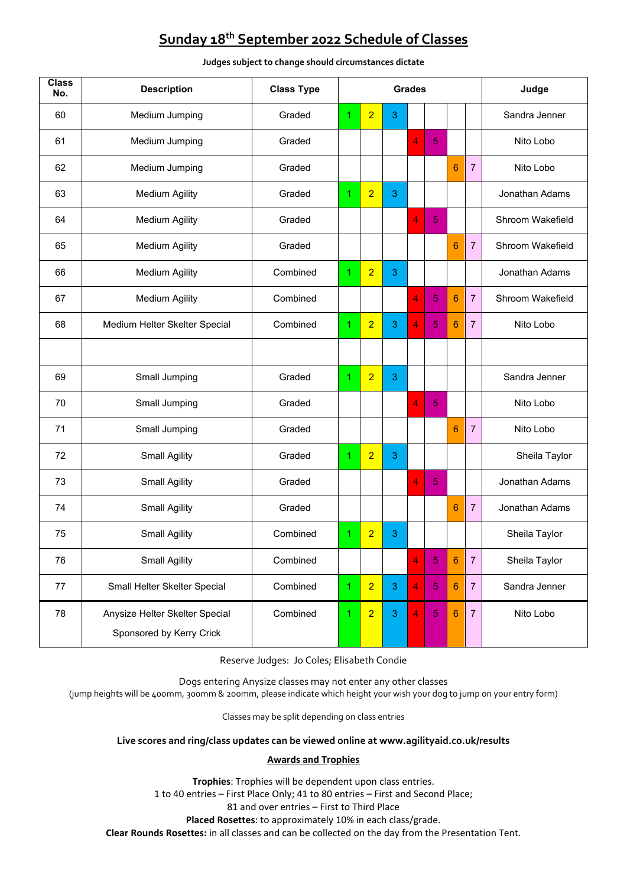# **Sunday 18 th September 2022 Schedule of Classes**

| $\overline{\text{Class}}$<br>No. | <b>Description</b>                                         | <b>Class Type</b> | <b>Grades</b> |                |   |                |                |                |                | Judge            |  |
|----------------------------------|------------------------------------------------------------|-------------------|---------------|----------------|---|----------------|----------------|----------------|----------------|------------------|--|
| 60                               | Medium Jumping                                             | Graded            | 1             | $\overline{2}$ | 3 |                |                |                |                | Sandra Jenner    |  |
| 61                               | Medium Jumping                                             | Graded            |               |                |   | 4              | 5              |                |                | Nito Lobo        |  |
| 62                               | Medium Jumping                                             | Graded            |               |                |   |                |                | 6              | 7              | Nito Lobo        |  |
| 63                               | <b>Medium Agility</b>                                      | Graded            | 1.            | $\overline{2}$ | 3 |                |                |                |                | Jonathan Adams   |  |
| 64                               | <b>Medium Agility</b>                                      | Graded            |               |                |   | 4              | 5              |                |                | Shroom Wakefield |  |
| 65                               | <b>Medium Agility</b>                                      | Graded            |               |                |   |                |                | 6              | $\overline{7}$ | Shroom Wakefield |  |
| 66                               | <b>Medium Agility</b>                                      | Combined          | 1.            | $\overline{2}$ | 3 |                |                |                |                | Jonathan Adams   |  |
| 67                               | <b>Medium Agility</b>                                      | Combined          |               |                |   | 4              | 5              | 6              | $\overline{7}$ | Shroom Wakefield |  |
| 68                               | Medium Helter Skelter Special                              | Combined          | 1             | $\overline{2}$ | 3 | 4              | 5              | 6              | $\overline{7}$ | Nito Lobo        |  |
|                                  |                                                            |                   |               |                |   |                |                |                |                |                  |  |
| 69                               | Small Jumping                                              | Graded            | 1.            | $\overline{2}$ | 3 |                |                |                |                | Sandra Jenner    |  |
| 70                               | Small Jumping                                              | Graded            |               |                |   | 4              | 5              |                |                | Nito Lobo        |  |
| 71                               | Small Jumping                                              | Graded            |               |                |   |                |                | 6              | 7              | Nito Lobo        |  |
| 72                               | <b>Small Agility</b>                                       | Graded            | 1.            | $\overline{2}$ | 3 |                |                |                |                | Sheila Taylor    |  |
| 73                               | <b>Small Agility</b>                                       | Graded            |               |                |   | $\overline{4}$ | 5              |                |                | Jonathan Adams   |  |
| 74                               | <b>Small Agility</b>                                       | Graded            |               |                |   |                |                | 6              | $\overline{7}$ | Jonathan Adams   |  |
| 75                               | <b>Small Agility</b>                                       | Combined          | 1             | $\overline{2}$ | 3 |                |                |                |                | Sheila Taylor    |  |
| 76                               | <b>Small Agility</b>                                       | Combined          |               |                |   | 4              | 5              | 6              | $\overline{7}$ | Sheila Taylor    |  |
| 77                               | Small Helter Skelter Special                               | Combined          | 1             | $\overline{2}$ | 3 | $\overline{4}$ | $\overline{5}$ | 6              | $\overline{7}$ | Sandra Jenner    |  |
| 78                               | Anysize Helter Skelter Special<br>Sponsored by Kerry Crick | Combined          | 1             | $\overline{2}$ | 3 | $\overline{4}$ | $\overline{5}$ | $6\phantom{1}$ | $\overline{7}$ | Nito Lobo        |  |

#### **Judges subject to change should circumstances dictate**

Reserve Judges: Jo Coles; Elisabeth Condie

Dogs entering Anysize classes may not enter any other classes

(jump heights will be 400mm, 300mm & 200mm, please indicate which height your wish your dog to jump on your entry form)

Classes may be split depending on class entries

### **Live scores and ring/class updates can be viewed online at www.agilityaid.co.uk/results**

## **Awards and Trophies**

**Trophies**: Trophies will be dependent upon class entries. 1 to 40 entries – First Place Only; 41 to 80 entries – First and Second Place; 81 and over entries – First to Third Place **Placed Rosettes**: to approximately 10% in each class/grade.

**Clear Rounds Rosettes:** in all classes and can be collected on the day from the Presentation Tent.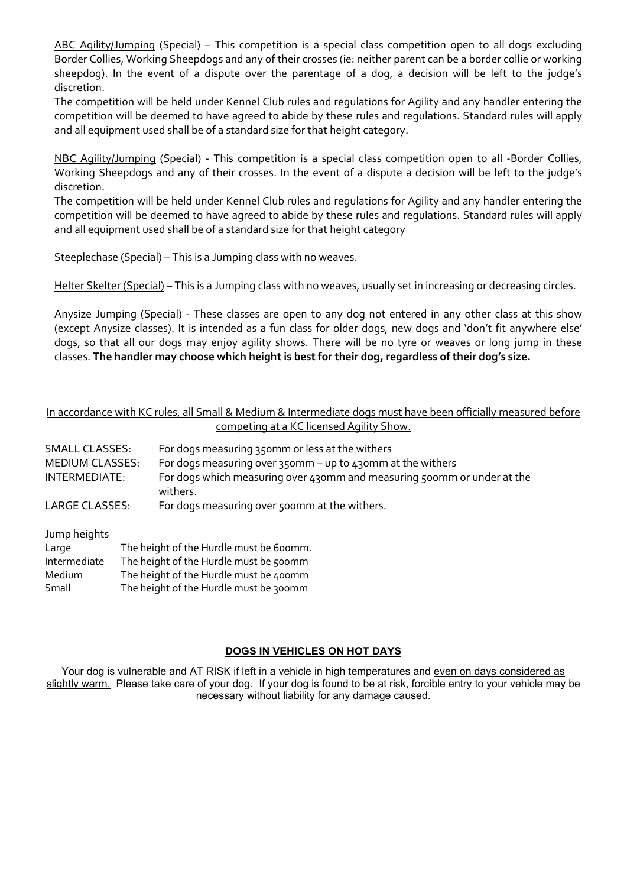ABC Agility/Jumping (Special) – This competition is a special class competition open to all dogs excluding Border Collies, Working Sheepdogs and any of their crosses (ie: neither parent can be a border collie or working sheepdog). In the event of a dispute over the parentage of a dog, a decision will be left to the judge's discretion.

The competition will be held under Kennel Club rules and regulations for Agility and any handler entering the competition will be deemed to have agreed to abide by these rules and regulations. Standard rules will apply and all equipment used shall be of a standard size for that height category.

NBC Agility/Jumping (Special) - This competition is a special class competition open to all -Border Collies, Working Sheepdogs and any of their crosses. In the event of a dispute a decision will be left to the judge's discretion.

The competition will be held under Kennel Club rules and regulations for Agility and any handler entering the competition will be deemed to have agreed to abide by these rules and regulations. Standard rules will apply and all equipment used shall be of a standard size for that height category

Steeplechase (Special) - This is a Jumping class with no weaves.

Helter Skelter (Special) – This is a Jumping class with no weaves, usually set in increasing or decreasing circles.

Anysize Jumping (Special) - These classes are open to any dog not entered in any other class at this show (except Anysize classes). It is intended as a fun class for older dogs, new dogs and 'don't fit anywhere else' dogs, so that all our dogs may enjoy agility shows. There will be no tyre or weaves or long jump in these classes. **The handler may choose which height is best for their dog, regardless of their dog's size.**

## In accordance with KC rules, all Small & Medium & Intermediate dogs must have been officially measured before competing at a KC licensed Agility Show.

| <b>SMALL CLASSES:</b><br>MEDIUM CLASSES: | For dogs measuring 350mm or less at the withers<br>For dogs measuring over 350mm – up to 430mm at the withers |
|------------------------------------------|---------------------------------------------------------------------------------------------------------------|
| INTERMEDIATE:                            | For dogs which measuring over 430mm and measuring 500mm or under at the<br>withers.                           |
| LARGE CLASSES:                           | For dogs measuring over 500mm at the withers.                                                                 |

| Jump heights |                                         |
|--------------|-----------------------------------------|
| Large        | The height of the Hurdle must be 600mm. |
| Intermediate | The height of the Hurdle must be 500mm  |
| Medium       | The height of the Hurdle must be 400mm  |
| Small        | The height of the Hurdle must be 300mm  |

## **DOGS IN VEHICLES ON HOT DAYS**

Your dog is vulnerable and AT RISK if left in a vehicle in high temperatures and even on days considered as slightly warm. Please take care of your dog. If your dog is found to be at risk, forcible entry to your vehicle may be necessary without liability for any damage caused.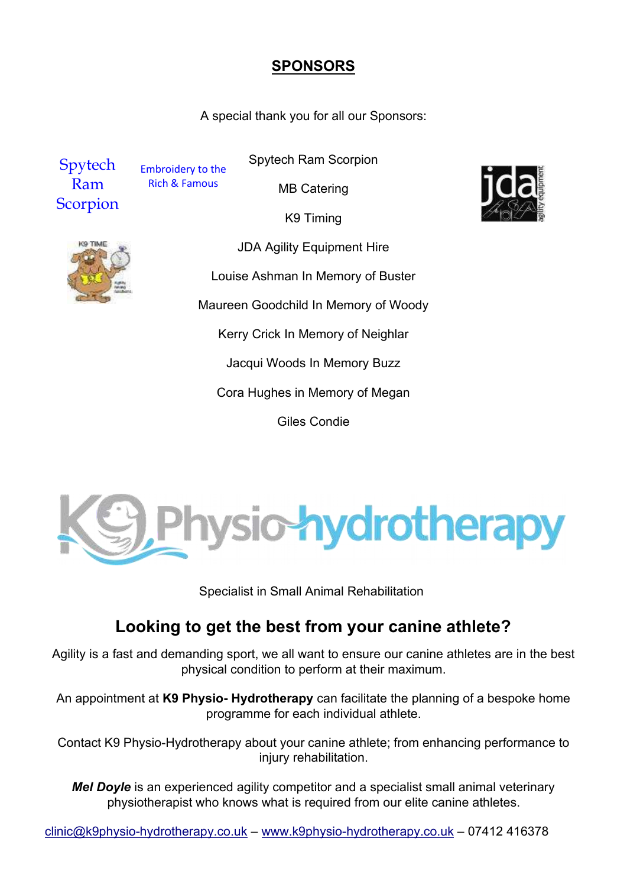## **SPONSORS**

A special thank you for all our Sponsors:



Embroidery to the Rich & Famous

MB Catering

Spytech Ram Scorpion

K9 Timing



JDA Agility Equipment Hire Louise Ashman In Memory of Buster Maureen Goodchild In Memory of Woody Kerry Crick In Memory of Neighlar Jacqui Woods In Memory Buzz Cora Hughes in Memory of Megan Giles Condie



Specialist in Small Animal Rehabilitation

# **Looking to get the best from your canine athlete?**

Agility is a fast and demanding sport, we all want to ensure our canine athletes are in the best physical condition to perform at their maximum.

An appointment at **K9 Physio- Hydrotherapy** can facilitate the planning of a bespoke home programme for each individual athlete.

Contact K9 Physio-Hydrotherapy about your canine athlete; from enhancing performance to injury rehabilitation.

*Mel Doyle* is an experienced agility competitor and a specialist small animal veterinary physiotherapist who knows what is required from our elite canine athletes.

clinic@k9physio-hydrotherapy.co.uk – [www.k9physio-hydrotherapy.co.uk](http://www.k9physio-hydrotherapy.co.uk/) – 07412 416378

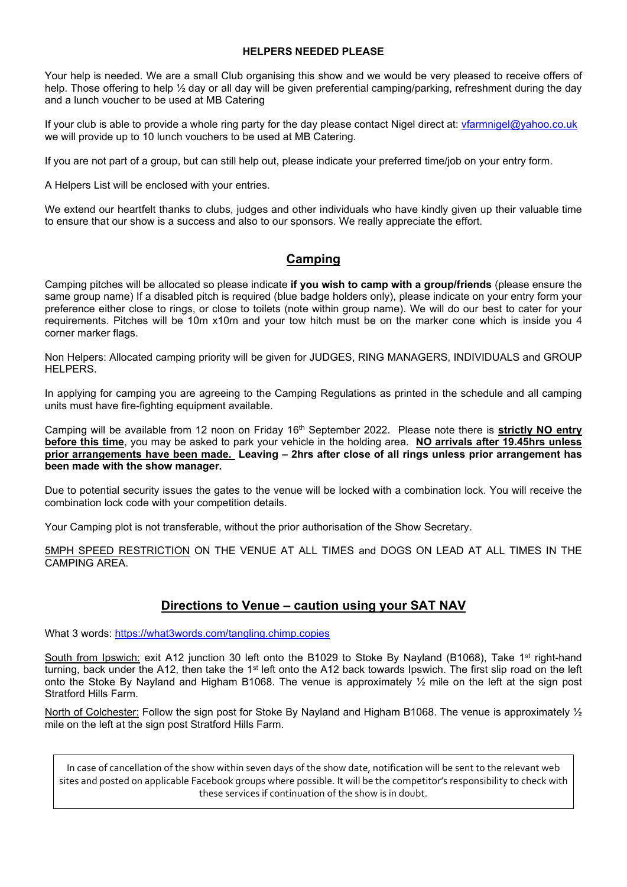### **HELPERS NEEDED PLEASE**

Your help is needed. We are a small Club organising this show and we would be very pleased to receive offers of help. Those offering to help  $\frac{1}{2}$  day or all day will be given preferential camping/parking, refreshment during the day and a lunch voucher to be used at MB Catering

If your club is able to provide a whole ring party for the day please contact Nigel direct at: [vfarmnigel@yahoo.co.uk](mailto:vfarmnigel@yahoo.co.uk)  we will provide up to 10 lunch vouchers to be used at MB Catering.

If you are not part of a group, but can still help out, please indicate your preferred time/job on your entry form.

A Helpers List will be enclosed with your entries.

We extend our heartfelt thanks to clubs, judges and other individuals who have kindly given up their valuable time to ensure that our show is a success and also to our sponsors. We really appreciate the effort.

## **Camping**

Camping pitches will be allocated so please indicate **if you wish to camp with a group/friends** (please ensure the same group name) If a disabled pitch is required (blue badge holders only), please indicate on your entry form your preference either close to rings, or close to toilets (note within group name). We will do our best to cater for your requirements. Pitches will be 10m x10m and your tow hitch must be on the marker cone which is inside you 4 corner marker flags.

Non Helpers: Allocated camping priority will be given for JUDGES, RING MANAGERS, INDIVIDUALS and GROUP HELPERS.

In applying for camping you are agreeing to the Camping Regulations as printed in the schedule and all camping units must have fire-fighting equipment available.

Camping will be available from 12 noon on Friday 16<sup>th</sup> September 2022. Please note there is **<u>strictly NO entry</u> before this time**, you may be asked to park your vehicle in the holding area. **NO arrivals after 19.45hrs unless prior arrangements have been made. Leaving – 2hrs after close of all rings unless prior arrangement has been made with the show manager.** 

Due to potential security issues the gates to the venue will be locked with a combination lock. You will receive the combination lock code with your competition details.

Your Camping plot is not transferable, without the prior authorisation of the Show Secretary.

5MPH SPEED RESTRICTION ON THE VENUE AT ALL TIMES and DOGS ON LEAD AT ALL TIMES IN THE CAMPING AREA.

## **Directions to Venue – caution using your SAT NAV**

What 3 words:<https://what3words.com/tangling.chimp.copies>

South from Ipswich: exit A12 junction 30 left onto the B1029 to Stoke By Nayland (B1068), Take 1<sup>st</sup> right-hand turning, back under the A12, then take the 1<sup>st</sup> left onto the A12 back towards Ipswich. The first slip road on the left onto the Stoke By Nayland and Higham B1068. The venue is approximately ½ mile on the left at the sign post Stratford Hills Farm.

North of Colchester: Follow the sign post for Stoke By Nayland and Higham B1068. The venue is approximately  $\frac{1}{2}$ mile on the left at the sign post Stratford Hills Farm.

In case of cancellation of the show within seven days of the show date, notification will be sent to the relevant web sites and posted on applicable Facebook groups where possible. It will be the competitor's responsibility to check with these services if continuation of the show is in doubt.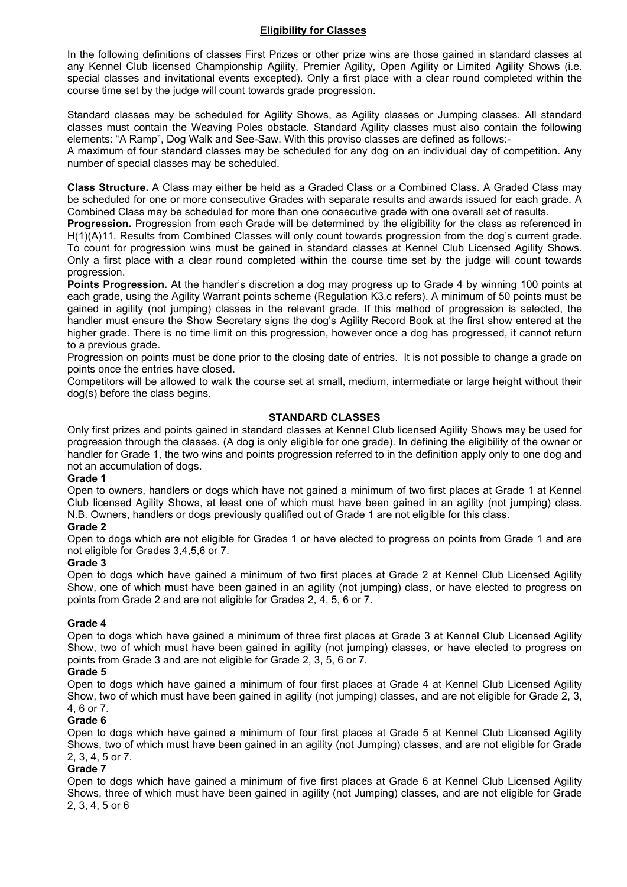## **Eligibility for Classes**

In the following definitions of classes First Prizes or other prize wins are those gained in standard classes at any Kennel Club licensed Championship Agility, Premier Agility, Open Agility or Limited Agility Shows (i.e. special classes and invitational events excepted). Only a first place with a clear round completed within the course time set by the judge will count towards grade progression.

Standard classes may be scheduled for Agility Shows, as Agility classes or Jumping classes. All standard classes must contain the Weaving Poles obstacle. Standard Agility classes must also contain the following elements: "A Ramp", Dog Walk and See-Saw. With this proviso classes are defined as follows:-

A maximum of four standard classes may be scheduled for any dog on an individual day of competition. Any number of special classes may be scheduled.

**Class Structure.** A Class may either be held as a Graded Class or a Combined Class. A Graded Class may be scheduled for one or more consecutive Grades with separate results and awards issued for each grade. A Combined Class may be scheduled for more than one consecutive grade with one overall set of results.

**Progression.** Progression from each Grade will be determined by the eligibility for the class as referenced in H(1)(A)11. Results from Combined Classes will only count towards progression from the dog's current grade. To count for progression wins must be gained in standard classes at Kennel Club Licensed Agility Shows. Only a first place with a clear round completed within the course time set by the judge will count towards progression.

**Points Progression.** At the handler's discretion a dog may progress up to Grade 4 by winning 100 points at each grade, using the Agility Warrant points scheme (Regulation K3.c refers). A minimum of 50 points must be gained in agility (not jumping) classes in the relevant grade. If this method of progression is selected, the handler must ensure the Show Secretary signs the dog's Agility Record Book at the first show entered at the higher grade. There is no time limit on this progression, however once a dog has progressed, it cannot return to a previous grade.

Progression on points must be done prior to the closing date of entries. It is not possible to change a grade on points once the entries have closed.

Competitors will be allowed to walk the course set at small, medium, intermediate or large height without their dog(s) before the class begins.

### **STANDARD CLASSES**

Only first prizes and points gained in standard classes at Kennel Club licensed Agility Shows may be used for progression through the classes. (A dog is only eligible for one grade). In defining the eligibility of the owner or handler for Grade 1, the two wins and points progression referred to in the definition apply only to one dog and not an accumulation of dogs.

#### **Grade 1**

Open to owners, handlers or dogs which have not gained a minimum of two first places at Grade 1 at Kennel Club licensed Agility Shows, at least one of which must have been gained in an agility (not jumping) class. N.B. Owners, handlers or dogs previously qualified out of Grade 1 are not eligible for this class.

#### **Grade 2**

Open to dogs which are not eligible for Grades 1 or have elected to progress on points from Grade 1 and are not eligible for Grades 3,4,5,6 or 7.

#### **Grade 3**

Open to dogs which have gained a minimum of two first places at Grade 2 at Kennel Club Licensed Agility Show, one of which must have been gained in an agility (not jumping) class, or have elected to progress on points from Grade 2 and are not eligible for Grades 2, 4, 5, 6 or 7.

## **Grade 4**

Open to dogs which have gained a minimum of three first places at Grade 3 at Kennel Club Licensed Agility Show, two of which must have been gained in agility (not jumping) classes, or have elected to progress on points from Grade 3 and are not eligible for Grade 2, 3, 5, 6 or 7.

#### **Grade 5**

Open to dogs which have gained a minimum of four first places at Grade 4 at Kennel Club Licensed Agility Show, two of which must have been gained in agility (not jumping) classes, and are not eligible for Grade 2, 3, 4, 6 or 7.

## **Grade 6**

Open to dogs which have gained a minimum of four first places at Grade 5 at Kennel Club Licensed Agility Shows, two of which must have been gained in an agility (not Jumping) classes, and are not eligible for Grade 2, 3, 4, 5 or 7.

## **Grade 7**

Open to dogs which have gained a minimum of five first places at Grade 6 at Kennel Club Licensed Agility Shows, three of which must have been gained in agility (not Jumping) classes, and are not eligible for Grade 2, 3, 4, 5 or 6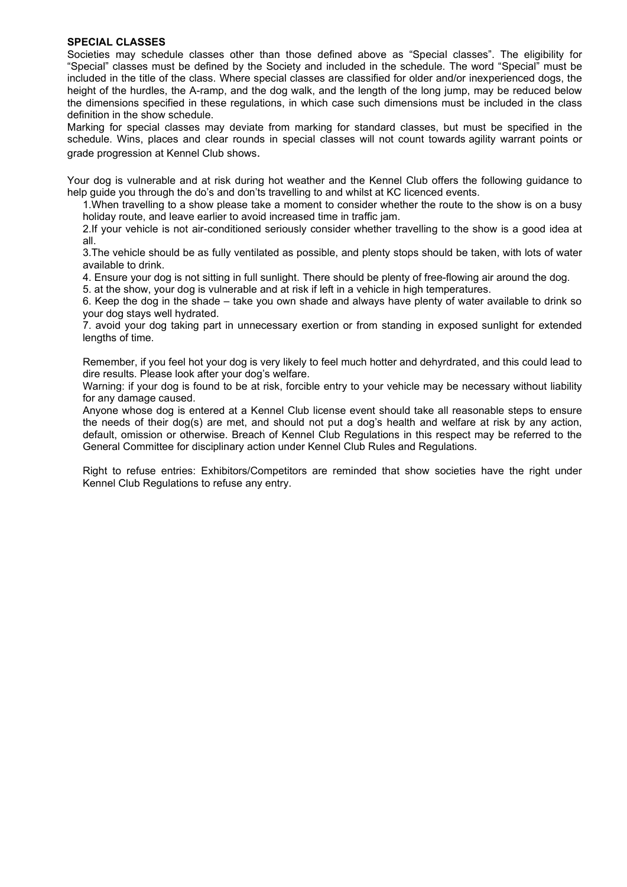## **SPECIAL CLASSES**

Societies may schedule classes other than those defined above as "Special classes". The eligibility for "Special" classes must be defined by the Society and included in the schedule. The word "Special" must be included in the title of the class. Where special classes are classified for older and/or inexperienced dogs, the height of the hurdles, the A-ramp, and the dog walk, and the length of the long jump, may be reduced below the dimensions specified in these regulations, in which case such dimensions must be included in the class definition in the show schedule.

Marking for special classes may deviate from marking for standard classes, but must be specified in the schedule. Wins, places and clear rounds in special classes will not count towards agility warrant points or grade progression at Kennel Club shows.

Your dog is vulnerable and at risk during hot weather and the Kennel Club offers the following guidance to help guide you through the do's and don'ts travelling to and whilst at KC licenced events.

1.When travelling to a show please take a moment to consider whether the route to the show is on a busy holiday route, and leave earlier to avoid increased time in traffic jam.

2.If your vehicle is not air-conditioned seriously consider whether travelling to the show is a good idea at all.

3.The vehicle should be as fully ventilated as possible, and plenty stops should be taken, with lots of water available to drink.

4. Ensure your dog is not sitting in full sunlight. There should be plenty of free-flowing air around the dog.

5. at the show, your dog is vulnerable and at risk if left in a vehicle in high temperatures.

6. Keep the dog in the shade – take you own shade and always have plenty of water available to drink so your dog stays well hydrated.

7. avoid your dog taking part in unnecessary exertion or from standing in exposed sunlight for extended lengths of time.

Remember, if you feel hot your dog is very likely to feel much hotter and dehyrdrated, and this could lead to dire results. Please look after your dog's welfare.

Warning: if your dog is found to be at risk, forcible entry to your vehicle may be necessary without liability for any damage caused.

Anyone whose dog is entered at a Kennel Club license event should take all reasonable steps to ensure the needs of their dog(s) are met, and should not put a dog's health and welfare at risk by any action, default, omission or otherwise. Breach of Kennel Club Regulations in this respect may be referred to the General Committee for disciplinary action under Kennel Club Rules and Regulations.

Right to refuse entries: Exhibitors/Competitors are reminded that show societies have the right under Kennel Club Regulations to refuse any entry.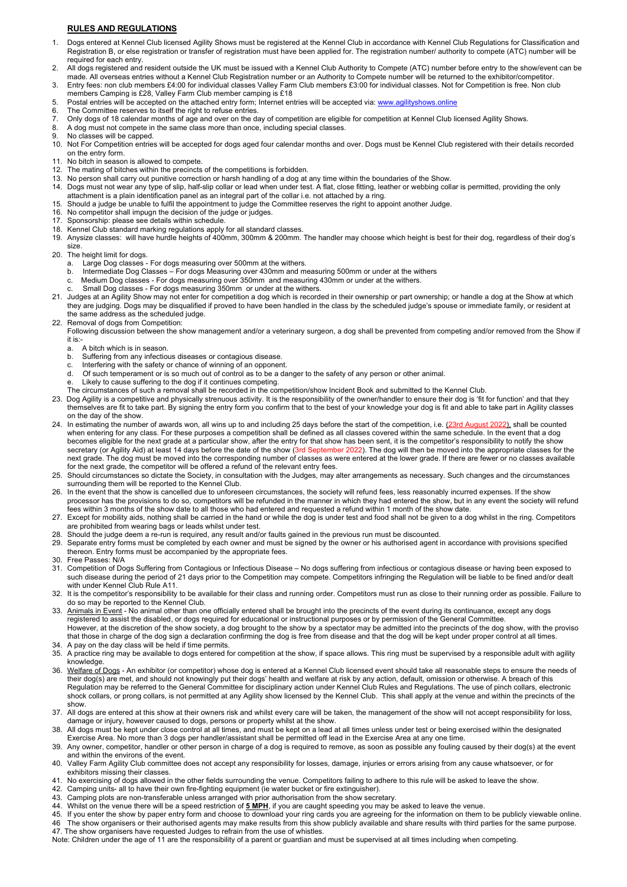#### **RULES AND REGULATIONS**

- 1. Dogs entered at Kennel Club licensed Agility Shows must be registered at the Kennel Club in accordance with Kennel Club Regulations for Classification and Registration B, or else registration or transfer of registration must have been applied for. The registration number/ authority to compete (ATC) number will be required for each entry.
- 2. All dogs registered and resident outside the UK must be issued with a Kennel Club Authority to Compete (ATC) number before entry to the show/event can be made. All overseas entries without a Kennel Club Registration number or an Authority to Compete number will be returned to the exhibitor/competitor. 3. Entry fees: non club members £4:00 for individual classes Valley Farm Club members £3:00 for individual classes. Not for Competition is free. Non club
- members Camping is £28, Valley Farm Club member camping is £18 5. Postal entries will be accepted on the attached entry form; Internet entries will be accepted via: <u>www.agilityshows.online</u>
- 6. The Committee reserves to itself the right to refuse entries.
- 7. Only dogs of 18 calendar months of age and over on the day of competition are eligible for competition at Kennel Club licensed Agility Shows.
- 8. A dog must not compete in the same class more than once, including special classes.
- 9. No classes will be capped.<br>10. Not For Competition entrie
- Not For Competition entries will be accepted for dogs aged four calendar months and over. Dogs must be Kennel Club registered with their details recorded on the entry form.
- 11. No bitch in season is allowed to compete.<br>12. The mating of bitches within the precincts
- The mating of bitches within the precincts of the competitions is forbidden.
- 13. No person shall carry out punitive correction or harsh handling of a dog at any time within the boundaries of the Show.
- 14. Dogs must not wear any type of slip, half-slip collar or lead when under test. A flat, close fitting, leather or webbing collar is permitted, providing the only attachment is a plain identification panel as an integral part of the collar i.e. not attached by a ring.
- 15. Should a judge be unable to fulfil the appointment to judge the Committee reserves the right to appoint another Judge.
- No competitor shall impugn the decision of the judge or judges.
- 17. Sponsorship: please see details within schedule.
- 18. Kennel Club standard marking regulations apply for all standard classes.
- 19. Anysize classes: will have hurdle heights of 400mm, 300mm & 200mm. The handler may choose which height is best for their dog, regardless of their dog's size.
- 20. The height limit for dogs.
	- a. Large Dog classes For dogs measuring over 500mm at the withers.
	- b. Intermediate Dog Classes For dogs Measuring over 430mm and measuring 500mm or under at the withers<br>c. Medium Dog classes For dogs measuring over 350mm and measuring 430mm or under at the withers.
	- Medium Dog classes For dogs measuring over 350mm and measuring 430mm or under at the withers.
	- Small Dog classes For dogs measuring 350mm or under at the withers
- 21. Judges at an Agility Show may not enter for competition a dog which is recorded in their ownership or part ownership; or handle a dog at the Show at which they are judging. Dogs may be disqualified if proved to have been handled in the class by the scheduled judge's spouse or immediate family, or resident at the same address as the scheduled judge.
- 22. Removal of dogs from Competition:
	- Following discussion between the show management and/or a veterinary surgeon, a dog shall be prevented from competing and/or removed from the Show if it is:
		- a. A bitch which is in season.
		- b. Suffering from any infectious diseases or contagious disease.
		- c. Interfering with the safety or chance of winning of an opponent.
		- d. Of such temperament or is so much out of control as to be a danger to the safety of any person or other animal.
		- e. Likely to cause suffering to the dog if it continues competing.
	- The circumstances of such a removal shall be recorded in the competition/show Incident Book and submitted to the Kennel Club.

23. Dog Agility is a competitive and physically strenuous activity. It is the responsibility of the owner/handler to ensure their dog is 'fit for function' and that they themselves are fit to take part. By signing the entry form you confirm that to the best of your knowledge your dog is fit and able to take part in Agility classes on the day of the show.

- 24. In estimating the number of awards won, all wins up to and including 25 days before the start of the competition, i.e. <u>(23rd August 2022),</u> shall be counted when entering for any class. For these purposes a competition shall be defined as all classes covered within the same schedule. In the event that a dog becomes eligible for the next grade at a particular show, after the entry for that show has been sent, it is the competitor's responsibility to notify the show secretary (or Agility Aid) at least 14 days before the date of the show (3rd September 2022). The dog will then be moved into the appropriate classes for the next grade. The dog must be moved into the corresponding number of classes as were entered at the lower grade. If there are fewer or no classes available for the next grade, the competitor will be offered a refund of the relevant entry fees.
- 25. Should circumstances so dictate the Society, in consultation with the Judges, may alter arrangements as necessary. Such changes and the circumstances surrounding them will be reported to the Kennel Club.
- 26. In the event that the show is cancelled due to unforeseen circumstances, the society will refund fees, less reasonably incurred expenses. If the show processor has the provisions to do so, competitors will be refunded in the manner in which they had entered the show, but in any event the society will refund fees within 3 months of the show date to all those who had entered and requested a refund within 1 month of the show date.
- 27. Except for mobility aids, nothing shall be carried in the hand or while the dog is under test and food shall not be given to a dog whilst in the ring. Competitors are prohibited from wearing bags or leads whilst under test.
- 28. Should the judge deem a re-run is required, any result and/or faults gained in the previous run must be discounted.
- 29. Separate entry forms must be completed by each owner and must be signed by the owner or his authorised agent in accordance with provisions specified thereon. Entry forms must be accompanied by the appropriate fees.
- 30. Free Passes: N/A
- 31. Competition of Dogs Suffering from Contagious or Infectious Disease No dogs suffering from infectious or contagious disease or having been exposed to such disease during the period of 21 days prior to the Competition may compete. Competitors infringing the Regulation will be liable to be fined and/or dealt with under Kennel Club Rule A11.
- 32. It is the competitor's responsibility to be available for their class and running order. Competitors must run as close to their running order as possible. Failure to do so may be reported to the Kennel Club.
- 33. Animals in Event No animal other than one officially entered shall be brought into the precincts of the event during its continuance, except any dogs registered to assist the disabled, or dogs required for educational or instructional purposes or by permission of the General Committee. However, at the discretion of the show society, a dog brought to the show by a spectator may be admitted into the precincts of the dog show, with the proviso that those in charge of the dog sign a declaration confirming the dog is free from disease and that the dog will be kept under proper control at all times.
- 34. A pay on the day class will be held if time permits.
- 35. A practice ring may be available to dogs entered for competition at the show, if space allows. This ring must be supervised by a responsible adult with agility knowledge.
- 36. Welfare of Dogs An exhibitor (or competitor) whose dog is entered at a Kennel Club licensed event should take all reasonable steps to ensure the needs of their dog(s) are met, and should not knowingly put their dogs' health and welfare at risk by any action, default, omission or otherwise. A breach of this Regulation may be referred to the General Committee for disciplinary action under Kennel Club Rules and Regulations. The use of pinch collars, electronic shock collars, or prong collars, is not permitted at any Agility show licensed by the Kennel Club. This shall apply at the venue and within the precincts of the show.
- 37. All dogs are entered at this show at their owners risk and whilst every care will be taken, the management of the show will not accept responsibility for loss, damage or injury, however caused to dogs, persons or property whilst at the show.
- 38. All dogs must be kept under close control at all times, and must be kept on a lead at all times unless under test or being exercised within the designated Exercise Area. No more than 3 dogs per handler/assistant shall be permitted off lead in the Exercise Area at any one time.
- 39. Any owner, competitor, handler or other person in charge of a dog is required to remove, as soon as possible any fouling caused by their dog(s) at the event and within the environs of the event.
- 40. Valley Farm Agility Club committee does not accept any responsibility for losses, damage, injuries or errors arising from any cause whatsoever, or for exhibitors missing their classes.
- 41. No exercising of dogs allowed in the other fields surrounding the venue. Competitors failing to adhere to this rule will be asked to leave the show.
- 42. Camping units- all to have their own fire-fighting equipment (ie water bucket or fire extinguisher).
- 43. Camping plots are non-transferable unless arranged with prior authorisation from the show secretary.
- 44. Whilst on the venue there will be a speed restriction of **5 MPH**, if you are caught speeding you may be asked to leave the venue.

45. If you enter the show by paper entry form and choose to download your ring cards you are agreeing for the information on them to be publicly viewable online.<br>46 The show organisers or their authorised agents may make r The show organisers or their authorised agents may make results from this show publicly available and share results with third parties for the same purpose.

47. The show organisers have requested Judges to refrain from the use of whistles.

Note: Children under the age of 11 are the responsibility of a parent or guardian and must be supervised at all times including when competing.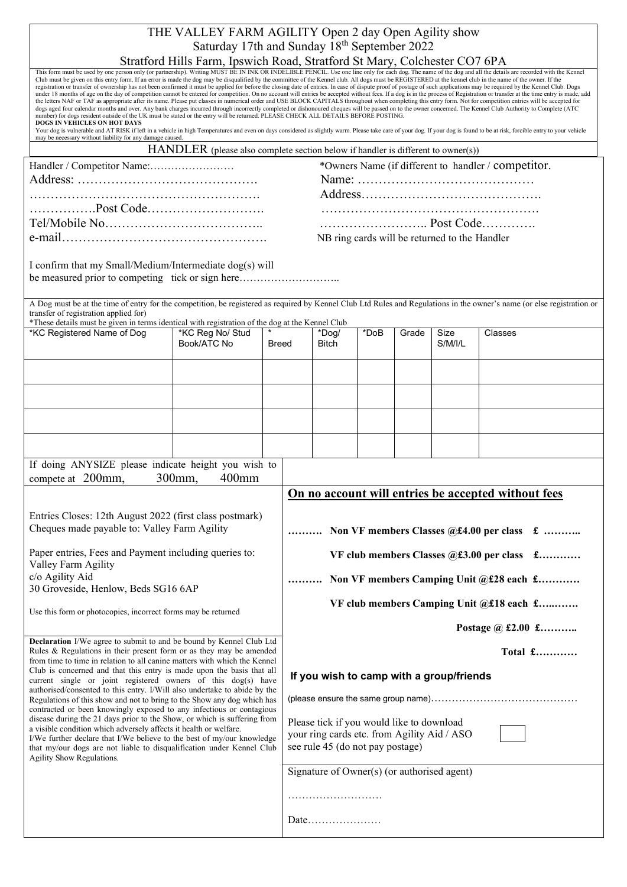|  |  |  |  | THE VALLEY FARM AGILITY Open 2 day Open Agility show                                                                                                                                  |  |
|--|--|--|--|---------------------------------------------------------------------------------------------------------------------------------------------------------------------------------------|--|
|  |  |  |  | Saturday 17th and Sunday 18 <sup>th</sup> September 2022                                                                                                                              |  |
|  |  |  |  | $\sim$ 1114 $\blacksquare$ 1 1 $\blacksquare$ 1 $\blacksquare$ 1 $\blacksquare$ 1 $\blacksquare$ 1 $\blacksquare$ 1 $\blacksquare$ 1 $\blacksquare$ 1 $\blacksquare$ 1 $\blacksquare$ |  |

| This form must be used by one person only (or partnership). Writing MUST BE IN INK OR INDELIBLE PENCIL. Use one line only for each dog. The name of the dog and all the details are recorded with the Kennel<br>Club must be given on this entry form. If an error is made the dog may be disqualified by the committee of the Kennel club. All dogs must be REGISTERED at the kennel club in the name of the owner. If the<br>registration or transfer of ownership has not been confirmed it must be applied for before the closing date of entries. In case of dispute proof of postage of such applications may be required by the Kennel Club. Dogs<br>under 18 months of age on the day of competition cannot be entered for competition. On no account will entries be accepted without fees. If a dog is in the process of Registration or transfer at the time entry is made, add<br>the letters NAF or TAF as appropriate after its name. Please put classes in numerical order and USE BLOCK CAPITALS throughout when completing this entry form. Not for competition entries will be accepted for<br>dogs aged four calendar months and over. Any bank charges incurred through incorrectly completed or dishonoured cheques will be passed on to the owner concerned. The Kennel Club Authority to Complete (ATC<br>number) for dogs resident outside of the UK must be stated or the entry will be returned. PLEASE CHECK ALL DETAILS BEFORE POSTING.<br>DOGS IN VEHICLES ON HOT DAYS<br>Your dog is vulnerable and AT RISK if left in a vehicle in high Temperatures and even on days considered as slightly warm. Please take care of your dog. If your dog is found to be at risk, forcible entry to your vehicle<br>may be necessary without liability for any damage caused. | Stratford Hills Farm, Ipswich Road, Stratford St Mary, Colchester CO7 6PA        |  |                                                                                                                              |                                             |      |       |                                               |                                                     |         |
|-------------------------------------------------------------------------------------------------------------------------------------------------------------------------------------------------------------------------------------------------------------------------------------------------------------------------------------------------------------------------------------------------------------------------------------------------------------------------------------------------------------------------------------------------------------------------------------------------------------------------------------------------------------------------------------------------------------------------------------------------------------------------------------------------------------------------------------------------------------------------------------------------------------------------------------------------------------------------------------------------------------------------------------------------------------------------------------------------------------------------------------------------------------------------------------------------------------------------------------------------------------------------------------------------------------------------------------------------------------------------------------------------------------------------------------------------------------------------------------------------------------------------------------------------------------------------------------------------------------------------------------------------------------------------------------------------------------------------------------------------------------------------------------------------|----------------------------------------------------------------------------------|--|------------------------------------------------------------------------------------------------------------------------------|---------------------------------------------|------|-------|-----------------------------------------------|-----------------------------------------------------|---------|
|                                                                                                                                                                                                                                                                                                                                                                                                                                                                                                                                                                                                                                                                                                                                                                                                                                                                                                                                                                                                                                                                                                                                                                                                                                                                                                                                                                                                                                                                                                                                                                                                                                                                                                                                                                                                 | HANDLER (please also complete section below if handler is different to owner(s)) |  |                                                                                                                              |                                             |      |       |                                               |                                                     |         |
|                                                                                                                                                                                                                                                                                                                                                                                                                                                                                                                                                                                                                                                                                                                                                                                                                                                                                                                                                                                                                                                                                                                                                                                                                                                                                                                                                                                                                                                                                                                                                                                                                                                                                                                                                                                                 |                                                                                  |  |                                                                                                                              |                                             |      |       |                                               | *Owners Name (if different to handler / competitor. |         |
|                                                                                                                                                                                                                                                                                                                                                                                                                                                                                                                                                                                                                                                                                                                                                                                                                                                                                                                                                                                                                                                                                                                                                                                                                                                                                                                                                                                                                                                                                                                                                                                                                                                                                                                                                                                                 |                                                                                  |  |                                                                                                                              |                                             |      |       |                                               |                                                     |         |
|                                                                                                                                                                                                                                                                                                                                                                                                                                                                                                                                                                                                                                                                                                                                                                                                                                                                                                                                                                                                                                                                                                                                                                                                                                                                                                                                                                                                                                                                                                                                                                                                                                                                                                                                                                                                 |                                                                                  |  |                                                                                                                              |                                             |      |       |                                               |                                                     |         |
| Post Code                                                                                                                                                                                                                                                                                                                                                                                                                                                                                                                                                                                                                                                                                                                                                                                                                                                                                                                                                                                                                                                                                                                                                                                                                                                                                                                                                                                                                                                                                                                                                                                                                                                                                                                                                                                       |                                                                                  |  |                                                                                                                              |                                             |      |       |                                               |                                                     |         |
|                                                                                                                                                                                                                                                                                                                                                                                                                                                                                                                                                                                                                                                                                                                                                                                                                                                                                                                                                                                                                                                                                                                                                                                                                                                                                                                                                                                                                                                                                                                                                                                                                                                                                                                                                                                                 |                                                                                  |  |                                                                                                                              |                                             |      |       |                                               |                                                     |         |
|                                                                                                                                                                                                                                                                                                                                                                                                                                                                                                                                                                                                                                                                                                                                                                                                                                                                                                                                                                                                                                                                                                                                                                                                                                                                                                                                                                                                                                                                                                                                                                                                                                                                                                                                                                                                 |                                                                                  |  |                                                                                                                              |                                             |      |       | NB ring cards will be returned to the Handler |                                                     |         |
| I confirm that my Small/Medium/Intermediate dog(s) will<br>be measured prior to competing tick or sign here                                                                                                                                                                                                                                                                                                                                                                                                                                                                                                                                                                                                                                                                                                                                                                                                                                                                                                                                                                                                                                                                                                                                                                                                                                                                                                                                                                                                                                                                                                                                                                                                                                                                                     |                                                                                  |  |                                                                                                                              |                                             |      |       |                                               |                                                     |         |
| A Dog must be at the time of entry for the competition, be registered as required by Kennel Club Ltd Rules and Regulations in the owner's name (or else registration or<br>transfer of registration applied for)<br>*These details must be given in terms identical with registration of the dog at the Kennel Club                                                                                                                                                                                                                                                                                                                                                                                                                                                                                                                                                                                                                                                                                                                                                                                                                                                                                                                                                                                                                                                                                                                                                                                                                                                                                                                                                                                                                                                                             |                                                                                  |  |                                                                                                                              |                                             |      |       |                                               |                                                     |         |
| *KC Registered Name of Dog                                                                                                                                                                                                                                                                                                                                                                                                                                                                                                                                                                                                                                                                                                                                                                                                                                                                                                                                                                                                                                                                                                                                                                                                                                                                                                                                                                                                                                                                                                                                                                                                                                                                                                                                                                      | *KC Reg No/ Stud<br>Book/ATC No                                                  |  | Breed                                                                                                                        | *Dog/<br>Bitch                              | *DoB | Grade | Size<br>S/M/IL                                | Classes                                             |         |
|                                                                                                                                                                                                                                                                                                                                                                                                                                                                                                                                                                                                                                                                                                                                                                                                                                                                                                                                                                                                                                                                                                                                                                                                                                                                                                                                                                                                                                                                                                                                                                                                                                                                                                                                                                                                 |                                                                                  |  |                                                                                                                              |                                             |      |       |                                               |                                                     |         |
|                                                                                                                                                                                                                                                                                                                                                                                                                                                                                                                                                                                                                                                                                                                                                                                                                                                                                                                                                                                                                                                                                                                                                                                                                                                                                                                                                                                                                                                                                                                                                                                                                                                                                                                                                                                                 |                                                                                  |  |                                                                                                                              |                                             |      |       |                                               |                                                     |         |
|                                                                                                                                                                                                                                                                                                                                                                                                                                                                                                                                                                                                                                                                                                                                                                                                                                                                                                                                                                                                                                                                                                                                                                                                                                                                                                                                                                                                                                                                                                                                                                                                                                                                                                                                                                                                 |                                                                                  |  |                                                                                                                              |                                             |      |       |                                               |                                                     |         |
|                                                                                                                                                                                                                                                                                                                                                                                                                                                                                                                                                                                                                                                                                                                                                                                                                                                                                                                                                                                                                                                                                                                                                                                                                                                                                                                                                                                                                                                                                                                                                                                                                                                                                                                                                                                                 |                                                                                  |  |                                                                                                                              |                                             |      |       |                                               |                                                     |         |
| If doing ANYSIZE please indicate height you wish to<br>compete at 200mm,                                                                                                                                                                                                                                                                                                                                                                                                                                                                                                                                                                                                                                                                                                                                                                                                                                                                                                                                                                                                                                                                                                                                                                                                                                                                                                                                                                                                                                                                                                                                                                                                                                                                                                                        | 300mm,<br>$400$ mm                                                               |  |                                                                                                                              |                                             |      |       |                                               |                                                     |         |
|                                                                                                                                                                                                                                                                                                                                                                                                                                                                                                                                                                                                                                                                                                                                                                                                                                                                                                                                                                                                                                                                                                                                                                                                                                                                                                                                                                                                                                                                                                                                                                                                                                                                                                                                                                                                 |                                                                                  |  | On no account will entries be accepted without fees                                                                          |                                             |      |       |                                               |                                                     |         |
| Entries Closes: 12th August 2022 (first class postmark)<br>Cheques made payable to: Valley Farm Agility                                                                                                                                                                                                                                                                                                                                                                                                                                                                                                                                                                                                                                                                                                                                                                                                                                                                                                                                                                                                                                                                                                                                                                                                                                                                                                                                                                                                                                                                                                                                                                                                                                                                                         |                                                                                  |  | Non VF members Classes @£4.00 per class £                                                                                    |                                             |      |       |                                               |                                                     |         |
| Paper entries, Fees and Payment including queries to:<br>Valley Farm Agility                                                                                                                                                                                                                                                                                                                                                                                                                                                                                                                                                                                                                                                                                                                                                                                                                                                                                                                                                                                                                                                                                                                                                                                                                                                                                                                                                                                                                                                                                                                                                                                                                                                                                                                    |                                                                                  |  |                                                                                                                              |                                             |      |       |                                               | VF club members Classes @£3.00 per class £          |         |
| c/o Agility Aid<br>30 Groveside, Henlow, Beds SG16 6AP                                                                                                                                                                                                                                                                                                                                                                                                                                                                                                                                                                                                                                                                                                                                                                                                                                                                                                                                                                                                                                                                                                                                                                                                                                                                                                                                                                                                                                                                                                                                                                                                                                                                                                                                          |                                                                                  |  |                                                                                                                              |                                             |      |       |                                               | Non VF members Camping Unit @£28 each £             |         |
| Use this form or photocopies, incorrect forms may be returned                                                                                                                                                                                                                                                                                                                                                                                                                                                                                                                                                                                                                                                                                                                                                                                                                                                                                                                                                                                                                                                                                                                                                                                                                                                                                                                                                                                                                                                                                                                                                                                                                                                                                                                                   |                                                                                  |  |                                                                                                                              |                                             |      |       |                                               | VF club members Camping Unit @£18 each £            |         |
|                                                                                                                                                                                                                                                                                                                                                                                                                                                                                                                                                                                                                                                                                                                                                                                                                                                                                                                                                                                                                                                                                                                                                                                                                                                                                                                                                                                                                                                                                                                                                                                                                                                                                                                                                                                                 |                                                                                  |  |                                                                                                                              |                                             |      |       |                                               | Postage @ £2.00 £                                   |         |
| Declaration I/We agree to submit to and be bound by Kennel Club Ltd<br>Rules & Regulations in their present form or as they may be amended                                                                                                                                                                                                                                                                                                                                                                                                                                                                                                                                                                                                                                                                                                                                                                                                                                                                                                                                                                                                                                                                                                                                                                                                                                                                                                                                                                                                                                                                                                                                                                                                                                                      |                                                                                  |  |                                                                                                                              |                                             |      |       |                                               |                                                     | Total £ |
| from time to time in relation to all canine matters with which the Kennel<br>Club is concerned and that this entry is made upon the basis that all<br>current single or joint registered owners of this dog(s) have                                                                                                                                                                                                                                                                                                                                                                                                                                                                                                                                                                                                                                                                                                                                                                                                                                                                                                                                                                                                                                                                                                                                                                                                                                                                                                                                                                                                                                                                                                                                                                             |                                                                                  |  |                                                                                                                              |                                             |      |       | If you wish to camp with a group/friends      |                                                     |         |
| authorised/consented to this entry. I/Will also undertake to abide by the<br>Regulations of this show and not to bring to the Show any dog which has                                                                                                                                                                                                                                                                                                                                                                                                                                                                                                                                                                                                                                                                                                                                                                                                                                                                                                                                                                                                                                                                                                                                                                                                                                                                                                                                                                                                                                                                                                                                                                                                                                            |                                                                                  |  |                                                                                                                              |                                             |      |       |                                               |                                                     |         |
| contracted or been knowingly exposed to any infectious or contagious<br>disease during the 21 days prior to the Show, or which is suffering from                                                                                                                                                                                                                                                                                                                                                                                                                                                                                                                                                                                                                                                                                                                                                                                                                                                                                                                                                                                                                                                                                                                                                                                                                                                                                                                                                                                                                                                                                                                                                                                                                                                |                                                                                  |  |                                                                                                                              |                                             |      |       |                                               |                                                     |         |
| a visible condition which adversely affects it health or welfare.<br>I/We further declare that I/We believe to the best of my/our knowledge<br>that my/our dogs are not liable to disqualification under Kennel Club                                                                                                                                                                                                                                                                                                                                                                                                                                                                                                                                                                                                                                                                                                                                                                                                                                                                                                                                                                                                                                                                                                                                                                                                                                                                                                                                                                                                                                                                                                                                                                            |                                                                                  |  | Please tick if you would like to download<br>your ring cards etc. from Agility Aid / ASO<br>see rule 45 (do not pay postage) |                                             |      |       |                                               |                                                     |         |
| Agility Show Regulations.                                                                                                                                                                                                                                                                                                                                                                                                                                                                                                                                                                                                                                                                                                                                                                                                                                                                                                                                                                                                                                                                                                                                                                                                                                                                                                                                                                                                                                                                                                                                                                                                                                                                                                                                                                       |                                                                                  |  |                                                                                                                              | Signature of Owner(s) (or authorised agent) |      |       |                                               |                                                     |         |
|                                                                                                                                                                                                                                                                                                                                                                                                                                                                                                                                                                                                                                                                                                                                                                                                                                                                                                                                                                                                                                                                                                                                                                                                                                                                                                                                                                                                                                                                                                                                                                                                                                                                                                                                                                                                 |                                                                                  |  |                                                                                                                              |                                             |      |       |                                               |                                                     |         |
|                                                                                                                                                                                                                                                                                                                                                                                                                                                                                                                                                                                                                                                                                                                                                                                                                                                                                                                                                                                                                                                                                                                                                                                                                                                                                                                                                                                                                                                                                                                                                                                                                                                                                                                                                                                                 |                                                                                  |  |                                                                                                                              | Date                                        |      |       |                                               |                                                     |         |